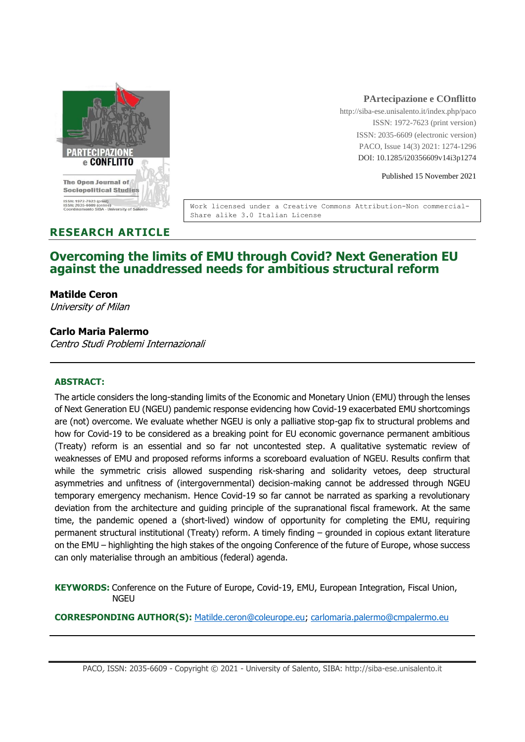

#### **PArtecipazione e COnflitto**

http://siba-ese.unisalento.it/index.php/paco ISSN: 1972-7623 (print version) ISSN: 2035-6609 (electronic version) PACO, Issue 14(3) 2021: 1274-1296 DOI: 10.1285/i20356609v14i3p1274

Published 15 November 2021

Work licensed under a Creative Commons Attribution-Non commercial-Share alike 3.0 Italian License

# **RESEARCH ARTICLE**

# **Overcoming the limits of EMU through Covid? Next Generation EU against the unaddressed needs for ambitious structural reform**

#### **Matilde Ceron**

University of Milan

## **Carlo Maria Palermo**

Centro Studi Problemi Internazionali

#### **ABSTRACT:**

The article considers the long-standing limits of the Economic and Monetary Union (EMU) through the lenses of Next Generation EU (NGEU) pandemic response evidencing how Covid-19 exacerbated EMU shortcomings are (not) overcome. We evaluate whether NGEU is only a palliative stop-gap fix to structural problems and how for Covid-19 to be considered as a breaking point for EU economic governance permanent ambitious (Treaty) reform is an essential and so far not uncontested step. A qualitative systematic review of weaknesses of EMU and proposed reforms informs a scoreboard evaluation of NGEU. Results confirm that while the symmetric crisis allowed suspending risk-sharing and solidarity vetoes, deep structural asymmetries and unfitness of (intergovernmental) decision-making cannot be addressed through NGEU temporary emergency mechanism. Hence Covid-19 so far cannot be narrated as sparking a revolutionary deviation from the architecture and guiding principle of the supranational fiscal framework. At the same time, the pandemic opened a (short-lived) window of opportunity for completing the EMU, requiring permanent structural institutional (Treaty) reform. A timely finding – grounded in copious extant literature on the EMU – highlighting the high stakes of the ongoing Conference of the future of Europe, whose success can only materialise through an ambitious (federal) agenda.

**KEYWORDS:** Conference on the Future of Europe, Covid-19, EMU, European Integration, Fiscal Union, NGEU

**CORRESPONDING AUTHOR(S):** [Matilde.ceron@coleurope.eu;](mailto:Matilde.ceron@coleurope.eu) [carlomaria.palermo@cmpalermo.eu](mailto:carlomaria.palermo@cmpalermo.eu)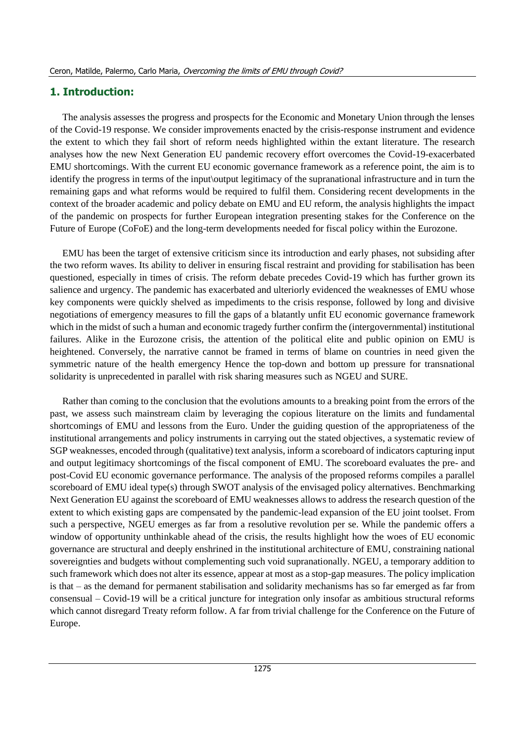## **1. Introduction:**

The analysis assesses the progress and prospects for the Economic and Monetary Union through the lenses of the Covid-19 response. We consider improvements enacted by the crisis-response instrument and evidence the extent to which they fail short of reform needs highlighted within the extant literature. The research analyses how the new Next Generation EU pandemic recovery effort overcomes the Covid-19-exacerbated EMU shortcomings. With the current EU economic governance framework as a reference point, the aim is to identify the progress in terms of the input\output legitimacy of the supranational infrastructure and in turn the remaining gaps and what reforms would be required to fulfil them. Considering recent developments in the context of the broader academic and policy debate on EMU and EU reform, the analysis highlights the impact of the pandemic on prospects for further European integration presenting stakes for the Conference on the Future of Europe (CoFoE) and the long-term developments needed for fiscal policy within the Eurozone.

EMU has been the target of extensive criticism since its introduction and early phases, not subsiding after the two reform waves. Its ability to deliver in ensuring fiscal restraint and providing for stabilisation has been questioned, especially in times of crisis. The reform debate precedes Covid-19 which has further grown its salience and urgency. The pandemic has exacerbated and ulteriorly evidenced the weaknesses of EMU whose key components were quickly shelved as impediments to the crisis response, followed by long and divisive negotiations of emergency measures to fill the gaps of a blatantly unfit EU economic governance framework which in the midst of such a human and economic tragedy further confirm the (intergovernmental) institutional failures. Alike in the Eurozone crisis, the attention of the political elite and public opinion on EMU is heightened. Conversely, the narrative cannot be framed in terms of blame on countries in need given the symmetric nature of the health emergency Hence the top-down and bottom up pressure for transnational solidarity is unprecedented in parallel with risk sharing measures such as NGEU and SURE.

Rather than coming to the conclusion that the evolutions amounts to a breaking point from the errors of the past, we assess such mainstream claim by leveraging the copious literature on the limits and fundamental shortcomings of EMU and lessons from the Euro. Under the guiding question of the appropriateness of the institutional arrangements and policy instruments in carrying out the stated objectives, a systematic review of SGP weaknesses, encoded through (qualitative) text analysis, inform a scoreboard of indicators capturing input and output legitimacy shortcomings of the fiscal component of EMU. The scoreboard evaluates the pre- and post-Covid EU economic governance performance. The analysis of the proposed reforms compiles a parallel scoreboard of EMU ideal type(s) through SWOT analysis of the envisaged policy alternatives. Benchmarking Next Generation EU against the scoreboard of EMU weaknesses allows to address the research question of the extent to which existing gaps are compensated by the pandemic-lead expansion of the EU joint toolset. From such a perspective, NGEU emerges as far from a resolutive revolution per se. While the pandemic offers a window of opportunity unthinkable ahead of the crisis, the results highlight how the woes of EU economic governance are structural and deeply enshrined in the institutional architecture of EMU, constraining national sovereignties and budgets without complementing such void supranationally. NGEU, a temporary addition to such framework which does not alter its essence, appear at most as a stop-gap measures. The policy implication is that – as the demand for permanent stabilisation and solidarity mechanisms has so far emerged as far from consensual – Covid-19 will be a critical juncture for integration only insofar as ambitious structural reforms which cannot disregard Treaty reform follow. A far from trivial challenge for the Conference on the Future of Europe.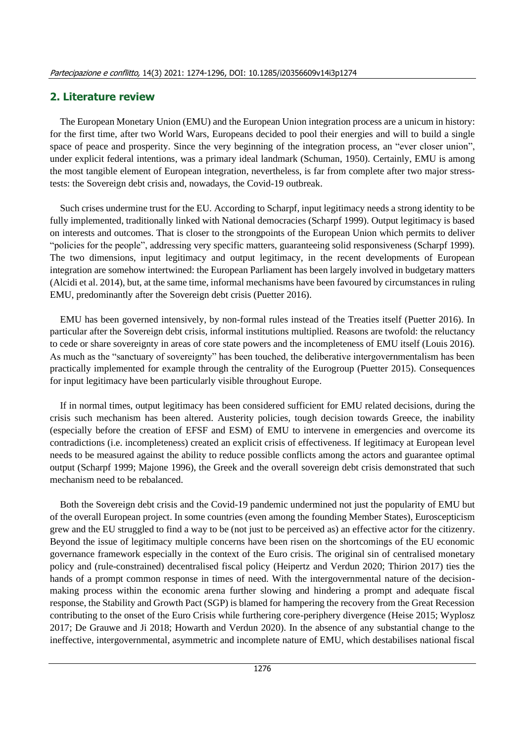## **2. Literature review**

The European Monetary Union (EMU) and the European Union integration process are a unicum in history: for the first time, after two World Wars, Europeans decided to pool their energies and will to build a single space of peace and prosperity. Since the very beginning of the integration process, an "ever closer union", under explicit federal intentions, was a primary ideal landmark (Schuman, 1950). Certainly, EMU is among the most tangible element of European integration, nevertheless, is far from complete after two major stresstests: the Sovereign debt crisis and, nowadays, the Covid-19 outbreak.

Such crises undermine trust for the EU. According to Scharpf, input legitimacy needs a strong identity to be fully implemented, traditionally linked with National democracies (Scharpf 1999). Output legitimacy is based on interests and outcomes. That is closer to the strongpoints of the European Union which permits to deliver "policies for the people", addressing very specific matters, guaranteeing solid responsiveness (Scharpf 1999). The two dimensions, input legitimacy and output legitimacy, in the recent developments of European integration are somehow intertwined: the European Parliament has been largely involved in budgetary matters (Alcidi et al. 2014), but, at the same time, informal mechanisms have been favoured by circumstances in ruling EMU, predominantly after the Sovereign debt crisis (Puetter 2016).

EMU has been governed intensively, by non-formal rules instead of the Treaties itself (Puetter 2016). In particular after the Sovereign debt crisis, informal institutions multiplied. Reasons are twofold: the reluctancy to cede or share sovereignty in areas of core state powers and the incompleteness of EMU itself (Louis 2016). As much as the "sanctuary of sovereignty" has been touched, the deliberative intergovernmentalism has been practically implemented for example through the centrality of the Eurogroup (Puetter 2015). Consequences for input legitimacy have been particularly visible throughout Europe.

If in normal times, output legitimacy has been considered sufficient for EMU related decisions, during the crisis such mechanism has been altered. Austerity policies, tough decision towards Greece, the inability (especially before the creation of EFSF and ESM) of EMU to intervene in emergencies and overcome its contradictions (i.e. incompleteness) created an explicit crisis of effectiveness. If legitimacy at European level needs to be measured against the ability to reduce possible conflicts among the actors and guarantee optimal output (Scharpf 1999; Majone 1996), the Greek and the overall sovereign debt crisis demonstrated that such mechanism need to be rebalanced.

Both the Sovereign debt crisis and the Covid-19 pandemic undermined not just the popularity of EMU but of the overall European project. In some countries (even among the founding Member States), Euroscepticism grew and the EU struggled to find a way to be (not just to be perceived as) an effective actor for the citizenry. Beyond the issue of legitimacy multiple concerns have been risen on the shortcomings of the EU economic governance framework especially in the context of the Euro crisis. The original sin of centralised monetary policy and (rule-constrained) decentralised fiscal policy (Heipertz and Verdun 2020; Thirion 2017) ties the hands of a prompt common response in times of need. With the intergovernmental nature of the decisionmaking process within the economic arena further slowing and hindering a prompt and adequate fiscal response, the Stability and Growth Pact (SGP) is blamed for hampering the recovery from the Great Recession contributing to the onset of the Euro Crisis while furthering core-periphery divergence (Heise 2015; Wyplosz 2017; De Grauwe and Ji 2018; Howarth and Verdun 2020). In the absence of any substantial change to the ineffective, intergovernmental, asymmetric and incomplete nature of EMU, which destabilises national fiscal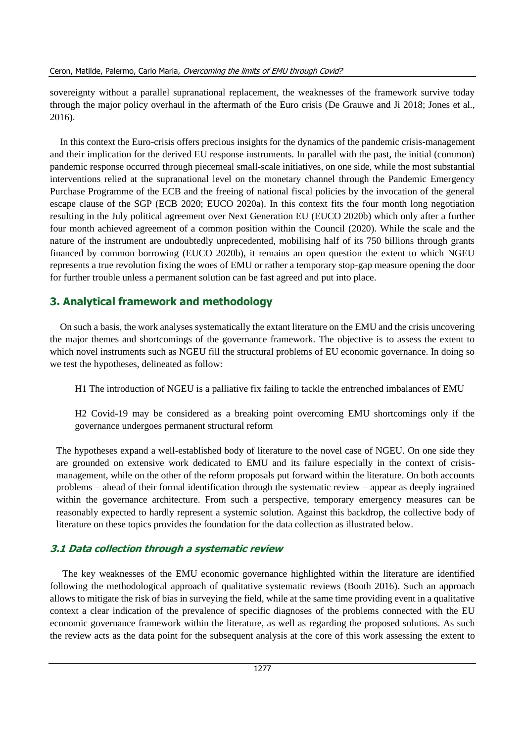sovereignty without a parallel supranational replacement, the weaknesses of the framework survive today through the major policy overhaul in the aftermath of the Euro crisis (De Grauwe and Ji 2018; Jones et al., 2016).

In this context the Euro-crisis offers precious insights for the dynamics of the pandemic crisis-management and their implication for the derived EU response instruments. In parallel with the past, the initial (common) pandemic response occurred through piecemeal small-scale initiatives, on one side, while the most substantial interventions relied at the supranational level on the monetary channel through the Pandemic Emergency Purchase Programme of the ECB and the freeing of national fiscal policies by the invocation of the general escape clause of the SGP (ECB 2020; EUCO 2020a). In this context fits the four month long negotiation resulting in the July political agreement over Next Generation EU (EUCO 2020b) which only after a further four month achieved agreement of a common position within the Council (2020). While the scale and the nature of the instrument are undoubtedly unprecedented, mobilising half of its 750 billions through grants financed by common borrowing (EUCO 2020b), it remains an open question the extent to which NGEU represents a true revolution fixing the woes of EMU or rather a temporary stop-gap measure opening the door for further trouble unless a permanent solution can be fast agreed and put into place.

# **3. Analytical framework and methodology**

On such a basis, the work analyses systematically the extant literature on the EMU and the crisis uncovering the major themes and shortcomings of the governance framework. The objective is to assess the extent to which novel instruments such as NGEU fill the structural problems of EU economic governance. In doing so we test the hypotheses, delineated as follow:

H1 The introduction of NGEU is a palliative fix failing to tackle the entrenched imbalances of EMU

H2 Covid-19 may be considered as a breaking point overcoming EMU shortcomings only if the governance undergoes permanent structural reform

The hypotheses expand a well-established body of literature to the novel case of NGEU. On one side they are grounded on extensive work dedicated to EMU and its failure especially in the context of crisismanagement, while on the other of the reform proposals put forward within the literature. On both accounts problems – ahead of their formal identification through the systematic review – appear as deeply ingrained within the governance architecture. From such a perspective, temporary emergency measures can be reasonably expected to hardly represent a systemic solution. Against this backdrop, the collective body of literature on these topics provides the foundation for the data collection as illustrated below.

# **3.1 Data collection through a systematic review**

The key weaknesses of the EMU economic governance highlighted within the literature are identified following the methodological approach of qualitative systematic reviews (Booth 2016). Such an approach allows to mitigate the risk of bias in surveying the field, while at the same time providing event in a qualitative context a clear indication of the prevalence of specific diagnoses of the problems connected with the EU economic governance framework within the literature, as well as regarding the proposed solutions. As such the review acts as the data point for the subsequent analysis at the core of this work assessing the extent to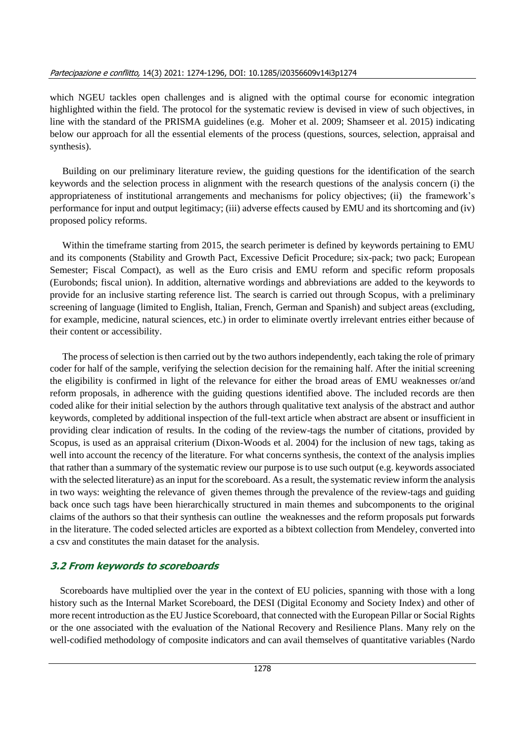which NGEU tackles open challenges and is aligned with the optimal course for economic integration highlighted within the field. The protocol for the systematic review is devised in view of such objectives, in line with the standard of the PRISMA guidelines (e.g. Moher et al. 2009; Shamseer et al. 2015) indicating below our approach for all the essential elements of the process (questions, sources, selection, appraisal and synthesis).

Building on our preliminary literature review, the guiding questions for the identification of the search keywords and the selection process in alignment with the research questions of the analysis concern (i) the appropriateness of institutional arrangements and mechanisms for policy objectives; (ii) the framework's performance for input and output legitimacy; (iii) adverse effects caused by EMU and its shortcoming and (iv) proposed policy reforms.

Within the timeframe starting from 2015, the search perimeter is defined by keywords pertaining to EMU and its components (Stability and Growth Pact, Excessive Deficit Procedure; six-pack; two pack; European Semester; Fiscal Compact), as well as the Euro crisis and EMU reform and specific reform proposals (Eurobonds; fiscal union). In addition, alternative wordings and abbreviations are added to the keywords to provide for an inclusive starting reference list. The search is carried out through Scopus, with a preliminary screening of language (limited to English, Italian, French, German and Spanish) and subject areas (excluding, for example, medicine, natural sciences, etc.) in order to eliminate overtly irrelevant entries either because of their content or accessibility.

The process of selection is then carried out by the two authors independently, each taking the role of primary coder for half of the sample, verifying the selection decision for the remaining half. After the initial screening the eligibility is confirmed in light of the relevance for either the broad areas of EMU weaknesses or/and reform proposals, in adherence with the guiding questions identified above. The included records are then coded alike for their initial selection by the authors through qualitative text analysis of the abstract and author keywords, completed by additional inspection of the full-text article when abstract are absent or insufficient in providing clear indication of results. In the coding of the review-tags the number of citations, provided by Scopus, is used as an appraisal criterium (Dixon-Woods et al. 2004) for the inclusion of new tags, taking as well into account the recency of the literature. For what concerns synthesis, the context of the analysis implies that rather than a summary of the systematic review our purpose is to use such output (e.g. keywords associated with the selected literature) as an input for the scoreboard. As a result, the systematic review inform the analysis in two ways: weighting the relevance of given themes through the prevalence of the review-tags and guiding back once such tags have been hierarchically structured in main themes and subcomponents to the original claims of the authors so that their synthesis can outline the weaknesses and the reform proposals put forwards in the literature. The coded selected articles are exported as a bibtext collection from Mendeley, converted into a csv and constitutes the main dataset for the analysis.

## **3.2 From keywords to scoreboards**

Scoreboards have multiplied over the year in the context of EU policies, spanning with those with a long history such as the Internal Market Scoreboard, the DESI (Digital Economy and Society Index) and other of more recent introduction as the EU Justice Scoreboard, that connected with the European Pillar or Social Rights or the one associated with the evaluation of the National Recovery and Resilience Plans. Many rely on the well-codified methodology of composite indicators and can avail themselves of quantitative variables (Nardo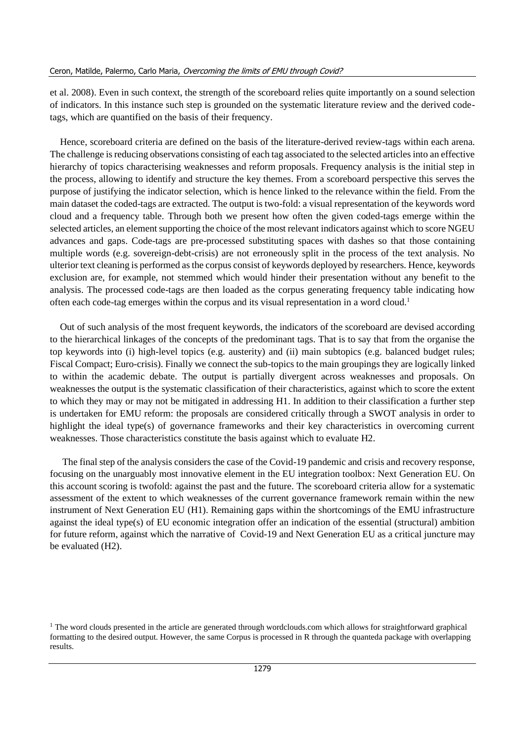et al. 2008). Even in such context, the strength of the scoreboard relies quite importantly on a sound selection of indicators. In this instance such step is grounded on the systematic literature review and the derived codetags, which are quantified on the basis of their frequency.

Hence, scoreboard criteria are defined on the basis of the literature-derived review-tags within each arena. The challenge is reducing observations consisting of each tag associated to the selected articles into an effective hierarchy of topics characterising weaknesses and reform proposals. Frequency analysis is the initial step in the process, allowing to identify and structure the key themes. From a scoreboard perspective this serves the purpose of justifying the indicator selection, which is hence linked to the relevance within the field. From the main dataset the coded-tags are extracted. The output is two-fold: a visual representation of the keywords word cloud and a frequency table. Through both we present how often the given coded-tags emerge within the selected articles, an element supporting the choice of the most relevant indicators against which to score NGEU advances and gaps. Code-tags are pre-processed substituting spaces with dashes so that those containing multiple words (e.g. sovereign-debt-crisis) are not erroneously split in the process of the text analysis. No ulterior text cleaning is performed as the corpus consist of keywords deployed by researchers. Hence, keywords exclusion are, for example, not stemmed which would hinder their presentation without any benefit to the analysis. The processed code-tags are then loaded as the corpus generating frequency table indicating how often each code-tag emerges within the corpus and its visual representation in a word cloud.<sup>1</sup>

Out of such analysis of the most frequent keywords, the indicators of the scoreboard are devised according to the hierarchical linkages of the concepts of the predominant tags. That is to say that from the organise the top keywords into (i) high-level topics (e.g. austerity) and (ii) main subtopics (e.g. balanced budget rules; Fiscal Compact; Euro-crisis). Finally we connect the sub-topics to the main groupings they are logically linked to within the academic debate. The output is partially divergent across weaknesses and proposals. On weaknesses the output is the systematic classification of their characteristics, against which to score the extent to which they may or may not be mitigated in addressing H1. In addition to their classification a further step is undertaken for EMU reform: the proposals are considered critically through a SWOT analysis in order to highlight the ideal type(s) of governance frameworks and their key characteristics in overcoming current weaknesses. Those characteristics constitute the basis against which to evaluate H2.

The final step of the analysis considers the case of the Covid-19 pandemic and crisis and recovery response, focusing on the unarguably most innovative element in the EU integration toolbox: Next Generation EU. On this account scoring is twofold: against the past and the future. The scoreboard criteria allow for a systematic assessment of the extent to which weaknesses of the current governance framework remain within the new instrument of Next Generation EU (H1). Remaining gaps within the shortcomings of the EMU infrastructure against the ideal type(s) of EU economic integration offer an indication of the essential (structural) ambition for future reform, against which the narrative of Covid-19 and Next Generation EU as a critical juncture may be evaluated (H2).

 $<sup>1</sup>$  The word clouds presented in the article are generated through wordclouds.com which allows for straightforward graphical</sup> formatting to the desired output. However, the same Corpus is processed in R through the quanteda package with overlapping results.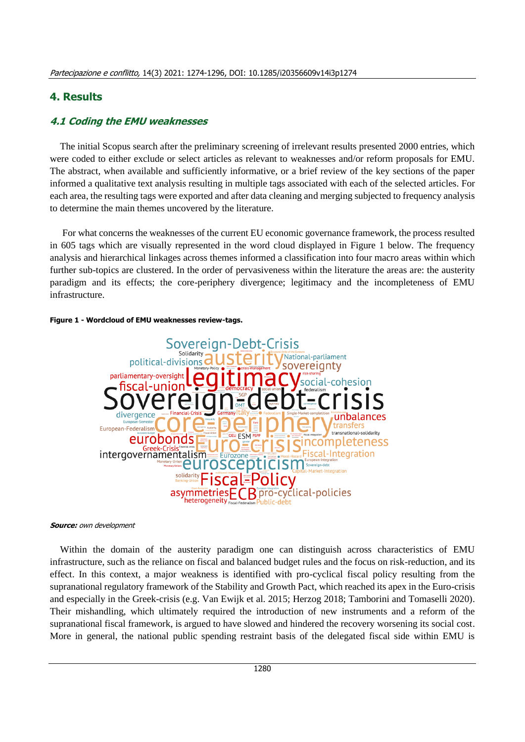#### **4. Results**

#### **4.1 Coding the EMU weaknesses**

The initial Scopus search after the preliminary screening of irrelevant results presented 2000 entries, which were coded to either exclude or select articles as relevant to weaknesses and/or reform proposals for EMU. The abstract, when available and sufficiently informative, or a brief review of the key sections of the paper informed a qualitative text analysis resulting in multiple tags associated with each of the selected articles. For each area, the resulting tags were exported and after data cleaning and merging subjected to frequency analysis to determine the main themes uncovered by the literature.

For what concerns the weaknesses of the current EU economic governance framework, the process resulted in 605 tags which are visually represented in the word cloud displayed in Figure 1 below. The frequency analysis and hierarchical linkages across themes informed a classification into four macro areas within which further sub-topics are clustered. In the order of pervasiveness within the literature the areas are: the austerity paradigm and its effects; the core-periphery divergence; legitimacy and the incompleteness of EMU infrastructure.





#### **Source:** own development

Within the domain of the austerity paradigm one can distinguish across characteristics of EMU infrastructure, such as the reliance on fiscal and balanced budget rules and the focus on risk-reduction, and its effect. In this context, a major weakness is identified with pro-cyclical fiscal policy resulting from the supranational regulatory framework of the Stability and Growth Pact, which reached its apex in the Euro-crisis and especially in the Greek-crisis (e.g. Van Ewijk et al. 2015; Herzog 2018; Tamborini and Tomaselli 2020). Their mishandling, which ultimately required the introduction of new instruments and a reform of the supranational fiscal framework, is argued to have slowed and hindered the recovery worsening its social cost. More in general, the national public spending restraint basis of the delegated fiscal side within EMU is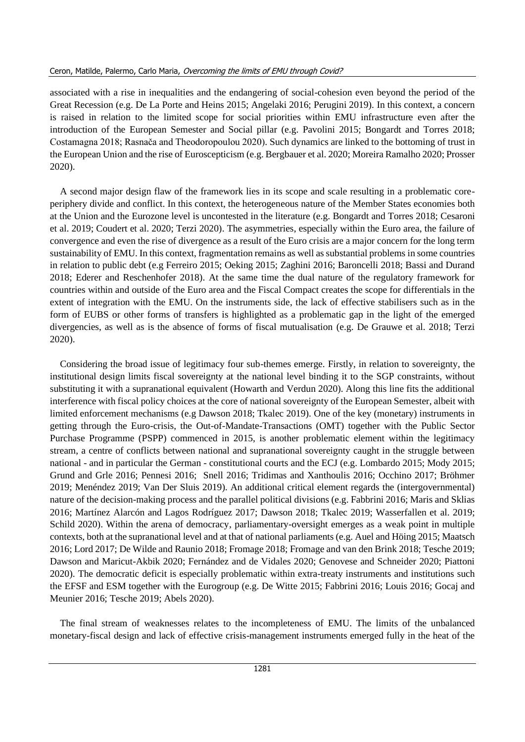associated with a rise in inequalities and the endangering of social-cohesion even beyond the period of the Great Recession (e.g. De La Porte and Heins 2015; Angelaki 2016; Perugini 2019). In this context, a concern is raised in relation to the limited scope for social priorities within EMU infrastructure even after the introduction of the European Semester and Social pillar (e.g. Pavolini 2015; Bongardt and Torres 2018; Costamagna 2018; Rasnača and Theodoropoulou 2020). Such dynamics are linked to the bottoming of trust in the European Union and the rise of Euroscepticism (e.g. Bergbauer et al. 2020; Moreira Ramalho 2020; Prosser 2020).

A second major design flaw of the framework lies in its scope and scale resulting in a problematic coreperiphery divide and conflict. In this context, the heterogeneous nature of the Member States economies both at the Union and the Eurozone level is uncontested in the literature (e.g. Bongardt and Torres 2018; Cesaroni et al. 2019; Coudert et al. 2020; Terzi 2020). The asymmetries, especially within the Euro area, the failure of convergence and even the rise of divergence as a result of the Euro crisis are a major concern for the long term sustainability of EMU. In this context, fragmentation remains as well as substantial problems in some countries in relation to public debt (e.g Ferreiro 2015; Oeking 2015; Zaghini 2016; Baroncelli 2018; Bassi and Durand 2018; Ederer and Reschenhofer 2018). At the same time the dual nature of the regulatory framework for countries within and outside of the Euro area and the Fiscal Compact creates the scope for differentials in the extent of integration with the EMU. On the instruments side, the lack of effective stabilisers such as in the form of EUBS or other forms of transfers is highlighted as a problematic gap in the light of the emerged divergencies, as well as is the absence of forms of fiscal mutualisation (e.g. De Grauwe et al. 2018; Terzi 2020).

Considering the broad issue of legitimacy four sub-themes emerge. Firstly, in relation to sovereignty, the institutional design limits fiscal sovereignty at the national level binding it to the SGP constraints, without substituting it with a supranational equivalent (Howarth and Verdun 2020). Along this line fits the additional interference with fiscal policy choices at the core of national sovereignty of the European Semester, albeit with limited enforcement mechanisms (e.g Dawson 2018; Tkalec 2019). One of the key (monetary) instruments in getting through the Euro-crisis, the Out-of-Mandate-Transactions (OMT) together with the Public Sector Purchase Programme (PSPP) commenced in 2015, is another problematic element within the legitimacy stream, a centre of conflicts between national and supranational sovereignty caught in the struggle between national - and in particular the German - constitutional courts and the ECJ (e.g. Lombardo 2015; Mody 2015; Grund and Grle 2016; Pennesi 2016; Snell 2016; Tridimas and Xanthoulis 2016; Occhino 2017; Bröhmer 2019; Menéndez 2019; Van Der Sluis 2019). An additional critical element regards the (intergovernmental) nature of the decision-making process and the parallel political divisions (e.g. Fabbrini 2016; Maris and Sklias 2016; Martínez Alarcón and Lagos Rodríguez 2017; Dawson 2018; Tkalec 2019; Wasserfallen et al. 2019; Schild 2020). Within the arena of democracy, parliamentary-oversight emerges as a weak point in multiple contexts, both at the supranational level and at that of national parliaments (e.g. Auel and Höing 2015; Maatsch 2016; Lord 2017; De Wilde and Raunio 2018; Fromage 2018; Fromage and van den Brink 2018; Tesche 2019; Dawson and Maricut-Akbik 2020; Fernández and de Vidales 2020; Genovese and Schneider 2020; Piattoni 2020). The democratic deficit is especially problematic within extra-treaty instruments and institutions such the EFSF and ESM together with the Eurogroup (e.g. De Witte 2015; Fabbrini 2016; Louis 2016; Gocaj and Meunier 2016; Tesche 2019; Abels 2020).

The final stream of weaknesses relates to the incompleteness of EMU. The limits of the unbalanced monetary-fiscal design and lack of effective crisis-management instruments emerged fully in the heat of the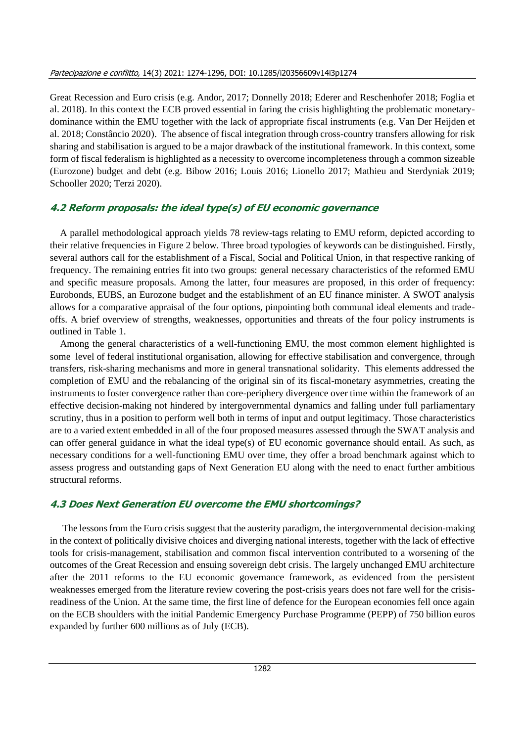Great Recession and Euro crisis (e.g. Andor, 2017; Donnelly 2018; Ederer and Reschenhofer 2018; Foglia et al. 2018). In this context the ECB proved essential in faring the crisis highlighting the problematic monetarydominance within the EMU together with the lack of appropriate fiscal instruments (e.g. Van Der Heijden et al. 2018; Constâncio 2020). The absence of fiscal integration through cross-country transfers allowing for risk sharing and stabilisation is argued to be a major drawback of the institutional framework. In this context, some form of fiscal federalism is highlighted as a necessity to overcome incompleteness through a common sizeable (Eurozone) budget and debt (e.g. Bibow 2016; Louis 2016; Lionello 2017; Mathieu and Sterdyniak 2019; Schooller 2020; Terzi 2020).

## **4.2 Reform proposals: the ideal type(s) of EU economic governance**

A parallel methodological approach yields 78 review-tags relating to EMU reform, depicted according to their relative frequencies in Figure 2 below. Three broad typologies of keywords can be distinguished. Firstly, several authors call for the establishment of a Fiscal, Social and Political Union, in that respective ranking of frequency. The remaining entries fit into two groups: general necessary characteristics of the reformed EMU and specific measure proposals. Among the latter, four measures are proposed, in this order of frequency: Eurobonds, EUBS, an Eurozone budget and the establishment of an EU finance minister. A SWOT analysis allows for a comparative appraisal of the four options, pinpointing both communal ideal elements and tradeoffs. A brief overview of strengths, weaknesses, opportunities and threats of the four policy instruments is outlined in Table 1.

Among the general characteristics of a well-functioning EMU, the most common element highlighted is some level of federal institutional organisation, allowing for effective stabilisation and convergence, through transfers, risk-sharing mechanisms and more in general transnational solidarity. This elements addressed the completion of EMU and the rebalancing of the original sin of its fiscal-monetary asymmetries, creating the instruments to foster convergence rather than core-periphery divergence over time within the framework of an effective decision-making not hindered by intergovernmental dynamics and falling under full parliamentary scrutiny, thus in a position to perform well both in terms of input and output legitimacy. Those characteristics are to a varied extent embedded in all of the four proposed measures assessed through the SWAT analysis and can offer general guidance in what the ideal type(s) of EU economic governance should entail. As such, as necessary conditions for a well-functioning EMU over time, they offer a broad benchmark against which to assess progress and outstanding gaps of Next Generation EU along with the need to enact further ambitious structural reforms.

## **4.3 Does Next Generation EU overcome the EMU shortcomings?**

The lessons from the Euro crisis suggest that the austerity paradigm, the intergovernmental decision-making in the context of politically divisive choices and diverging national interests, together with the lack of effective tools for crisis-management, stabilisation and common fiscal intervention contributed to a worsening of the outcomes of the Great Recession and ensuing sovereign debt crisis. The largely unchanged EMU architecture after the 2011 reforms to the EU economic governance framework, as evidenced from the persistent weaknesses emerged from the literature review covering the post-crisis years does not fare well for the crisisreadiness of the Union. At the same time, the first line of defence for the European economies fell once again on the ECB shoulders with the initial Pandemic Emergency Purchase Programme (PEPP) of 750 billion euros expanded by further 600 millions as of July (ECB).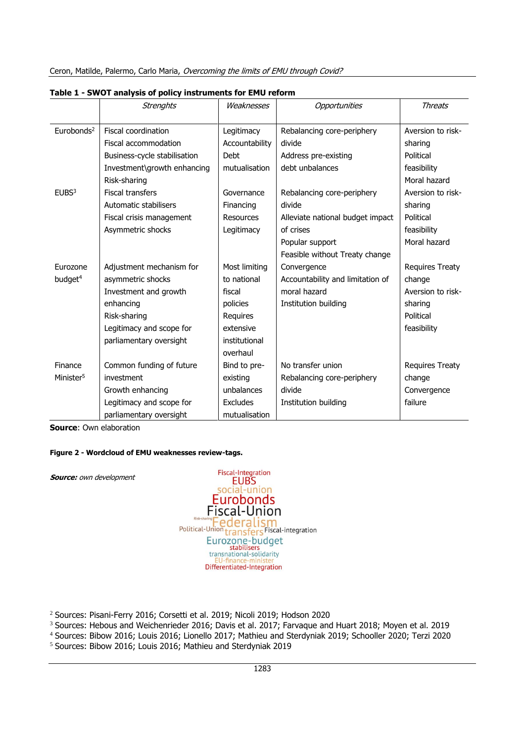|                        | <b>Strenghts</b>             | Weaknesses     | Opportunities                    | <b>Threats</b>         |
|------------------------|------------------------------|----------------|----------------------------------|------------------------|
|                        |                              |                |                                  |                        |
| Eurobonds <sup>2</sup> | Fiscal coordination          | Legitimacy     | Rebalancing core-periphery       | Aversion to risk-      |
|                        | Fiscal accommodation         | Accountability | divide                           | sharing                |
|                        | Business-cycle stabilisation | <b>Debt</b>    | Address pre-existing             | Political              |
|                        | Investment\growth enhancing  | mutualisation  | debt unbalances                  | feasibility            |
|                        | Risk-sharing                 |                |                                  | Moral hazard           |
| EUBS <sup>3</sup>      | <b>Fiscal transfers</b>      | Governance     | Rebalancing core-periphery       | Aversion to risk-      |
|                        | Automatic stabilisers        | Financing      | divide                           | sharing                |
|                        | Fiscal crisis management     | Resources      | Alleviate national budget impact | Political              |
|                        | Asymmetric shocks            | Legitimacy     | of crises                        | feasibility            |
|                        |                              |                | Popular support                  | Moral hazard           |
|                        |                              |                | Feasible without Treaty change   |                        |
| Eurozone               | Adjustment mechanism for     | Most limiting  | Convergence                      | <b>Requires Treaty</b> |
| budget <sup>4</sup>    | asymmetric shocks            | to national    | Accountability and limitation of | change                 |
|                        | Investment and growth        | fiscal         | moral hazard                     | Aversion to risk-      |
|                        | enhancing                    | policies       | Institution building             | sharing                |
|                        | Risk-sharing                 | Requires       |                                  | Political              |
|                        | Legitimacy and scope for     | extensive      |                                  | feasibility            |
|                        | parliamentary oversight      | institutional  |                                  |                        |
|                        |                              | overhaul       |                                  |                        |
| Finance                | Common funding of future     | Bind to pre-   | No transfer union                | <b>Requires Treaty</b> |
| Minister <sup>5</sup>  | investment                   | existing       | Rebalancing core-periphery       | change                 |
|                        | Growth enhancing             | unbalances     | divide                           | Convergence            |
|                        | Legitimacy and scope for     | Excludes       | Institution building             | failure                |
|                        | parliamentary oversight      | mutualisation  |                                  |                        |

**Table 1 - SWOT analysis of policy instruments for EMU reform**

**Source**: Own elaboration

**Source:** own development

#### **Figure 2 - Wordcloud of EMU weaknesses review-tags.**



<sup>2</sup> Sources: Pisani-Ferry 2016; Corsetti et al. 2019; Nicoli 2019; Hodson 2020

<sup>3</sup> Sources: Hebous and Weichenrieder 2016; Davis et al. 2017; Farvaque and Huart 2018; Moyen et al. 2019

<sup>4</sup> Sources: Bibow 2016; Louis 2016; Lionello 2017; Mathieu and Sterdyniak 2019; Schooller 2020; Terzi 2020

<sup>5</sup> Sources: Bibow 2016; Louis 2016; Mathieu and Sterdyniak 2019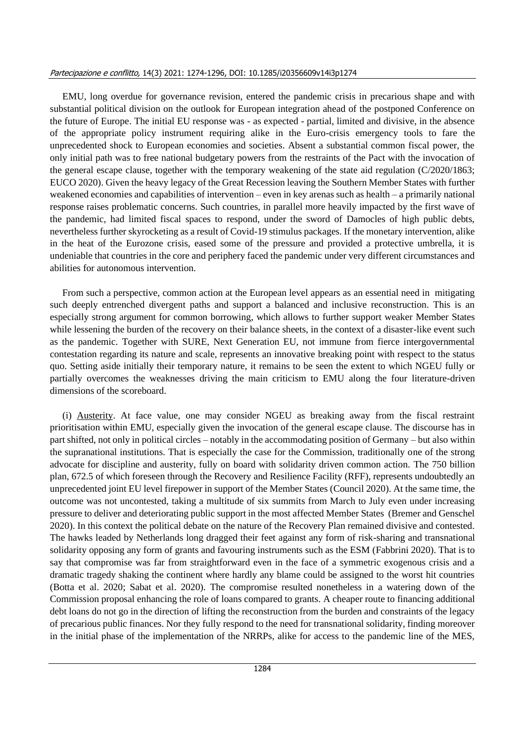#### Partecipazione e conflitto, 14(3) 2021: 1274-1296, DOI: 10.1285/i20356609v14i3p1274

EMU, long overdue for governance revision, entered the pandemic crisis in precarious shape and with substantial political division on the outlook for European integration ahead of the postponed Conference on the future of Europe. The initial EU response was - as expected - partial, limited and divisive, in the absence of the appropriate policy instrument requiring alike in the Euro-crisis emergency tools to fare the unprecedented shock to European economies and societies. Absent a substantial common fiscal power, the only initial path was to free national budgetary powers from the restraints of the Pact with the invocation of the general escape clause, together with the temporary weakening of the state aid regulation (C/2020/1863; EUCO 2020). Given the heavy legacy of the Great Recession leaving the Southern Member States with further weakened economies and capabilities of intervention – even in key arenas such as health – a primarily national response raises problematic concerns. Such countries, in parallel more heavily impacted by the first wave of the pandemic, had limited fiscal spaces to respond, under the sword of Damocles of high public debts, nevertheless further skyrocketing as a result of Covid-19 stimulus packages. If the monetary intervention, alike in the heat of the Eurozone crisis, eased some of the pressure and provided a protective umbrella, it is undeniable that countries in the core and periphery faced the pandemic under very different circumstances and abilities for autonomous intervention.

From such a perspective, common action at the European level appears as an essential need in mitigating such deeply entrenched divergent paths and support a balanced and inclusive reconstruction. This is an especially strong argument for common borrowing, which allows to further support weaker Member States while lessening the burden of the recovery on their balance sheets, in the context of a disaster-like event such as the pandemic. Together with SURE, Next Generation EU, not immune from fierce intergovernmental contestation regarding its nature and scale, represents an innovative breaking point with respect to the status quo. Setting aside initially their temporary nature, it remains to be seen the extent to which NGEU fully or partially overcomes the weaknesses driving the main criticism to EMU along the four literature-driven dimensions of the scoreboard.

(i) Austerity. At face value, one may consider NGEU as breaking away from the fiscal restraint prioritisation within EMU, especially given the invocation of the general escape clause. The discourse has in part shifted, not only in political circles – notably in the accommodating position of Germany – but also within the supranational institutions. That is especially the case for the Commission, traditionally one of the strong advocate for discipline and austerity, fully on board with solidarity driven common action. The 750 billion plan, 672.5 of which foreseen through the Recovery and Resilience Facility (RFF), represents undoubtedly an unprecedented joint EU level firepower in support of the Member States (Council 2020). At the same time, the outcome was not uncontested, taking a multitude of six summits from March to July even under increasing pressure to deliver and deteriorating public support in the most affected Member States (Bremer and Genschel 2020). In this context the political debate on the nature of the Recovery Plan remained divisive and contested. The hawks leaded by Netherlands long dragged their feet against any form of risk-sharing and transnational solidarity opposing any form of grants and favouring instruments such as the ESM (Fabbrini 2020). That is to say that compromise was far from straightforward even in the face of a symmetric exogenous crisis and a dramatic tragedy shaking the continent where hardly any blame could be assigned to the worst hit countries (Botta et al. 2020; Sabat et al. 2020). The compromise resulted nonetheless in a watering down of the Commission proposal enhancing the role of loans compared to grants. A cheaper route to financing additional debt loans do not go in the direction of lifting the reconstruction from the burden and constraints of the legacy of precarious public finances. Nor they fully respond to the need for transnational solidarity, finding moreover in the initial phase of the implementation of the NRRPs, alike for access to the pandemic line of the MES,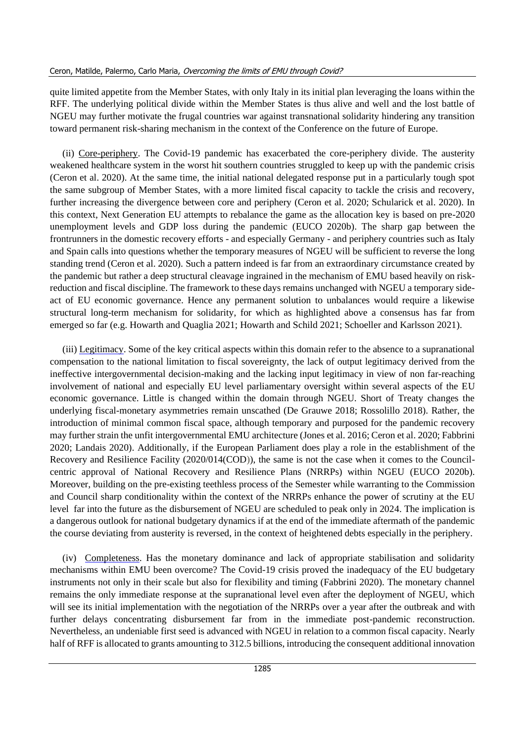quite limited appetite from the Member States, with only Italy in its initial plan leveraging the loans within the RFF. The underlying political divide within the Member States is thus alive and well and the lost battle of NGEU may further motivate the frugal countries war against transnational solidarity hindering any transition toward permanent risk-sharing mechanism in the context of the Conference on the future of Europe.

(ii) Core-periphery. The Covid-19 pandemic has exacerbated the core-periphery divide. The austerity weakened healthcare system in the worst hit southern countries struggled to keep up with the pandemic crisis (Ceron et al. 2020). At the same time, the initial national delegated response put in a particularly tough spot the same subgroup of Member States, with a more limited fiscal capacity to tackle the crisis and recovery, further increasing the divergence between core and periphery (Ceron et al. 2020; Schularick et al. 2020). In this context, Next Generation EU attempts to rebalance the game as the allocation key is based on pre-2020 unemployment levels and GDP loss during the pandemic (EUCO 2020b). The sharp gap between the frontrunners in the domestic recovery efforts - and especially Germany - and periphery countries such as Italy and Spain calls into questions whether the temporary measures of NGEU will be sufficient to reverse the long standing trend (Ceron et al. 2020). Such a pattern indeed is far from an extraordinary circumstance created by the pandemic but rather a deep structural cleavage ingrained in the mechanism of EMU based heavily on riskreduction and fiscal discipline. The framework to these days remains unchanged with NGEU a temporary sideact of EU economic governance. Hence any permanent solution to unbalances would require a likewise structural long-term mechanism for solidarity, for which as highlighted above a consensus has far from emerged so far (e.g. Howarth and Quaglia 2021; Howarth and Schild 2021; Schoeller and Karlsson 2021).

(iii) Legitimacy. Some of the key critical aspects within this domain refer to the absence to a supranational compensation to the national limitation to fiscal sovereignty, the lack of output legitimacy derived from the ineffective intergovernmental decision-making and the lacking input legitimacy in view of non far-reaching involvement of national and especially EU level parliamentary oversight within several aspects of the EU economic governance. Little is changed within the domain through NGEU. Short of Treaty changes the underlying fiscal-monetary asymmetries remain unscathed (De Grauwe 2018; Rossolillo 2018). Rather, the introduction of minimal common fiscal space, although temporary and purposed for the pandemic recovery may further strain the unfit intergovernmental EMU architecture (Jones et al. 2016; Ceron et al. 2020; Fabbrini 2020; Landais 2020). Additionally, if the European Parliament does play a role in the establishment of the Recovery and Resilience Facility (2020/014(COD)), the same is not the case when it comes to the Councilcentric approval of National Recovery and Resilience Plans (NRRPs) within NGEU (EUCO 2020b). Moreover, building on the pre-existing teethless process of the Semester while warranting to the Commission and Council sharp conditionality within the context of the NRRPs enhance the power of scrutiny at the EU level far into the future as the disbursement of NGEU are scheduled to peak only in 2024. The implication is a dangerous outlook for national budgetary dynamics if at the end of the immediate aftermath of the pandemic the course deviating from austerity is reversed, in the context of heightened debts especially in the periphery.

(iv) Completeness. Has the monetary dominance and lack of appropriate stabilisation and solidarity mechanisms within EMU been overcome? The Covid-19 crisis proved the inadequacy of the EU budgetary instruments not only in their scale but also for flexibility and timing (Fabbrini 2020). The monetary channel remains the only immediate response at the supranational level even after the deployment of NGEU, which will see its initial implementation with the negotiation of the NRRPs over a year after the outbreak and with further delays concentrating disbursement far from in the immediate post-pandemic reconstruction. Nevertheless, an undeniable first seed is advanced with NGEU in relation to a common fiscal capacity. Nearly half of RFF is allocated to grants amounting to 312.5 billions, introducing the consequent additional innovation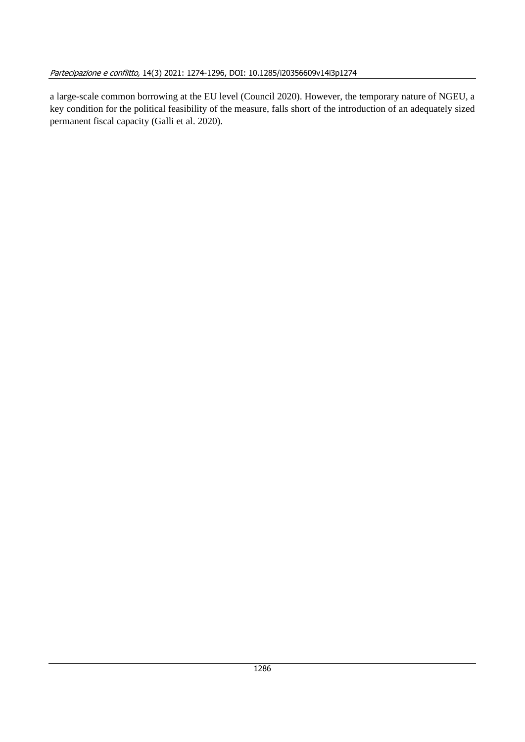a large-scale common borrowing at the EU level (Council 2020). However, the temporary nature of NGEU, a key condition for the political feasibility of the measure, falls short of the introduction of an adequately sized permanent fiscal capacity (Galli et al. 2020).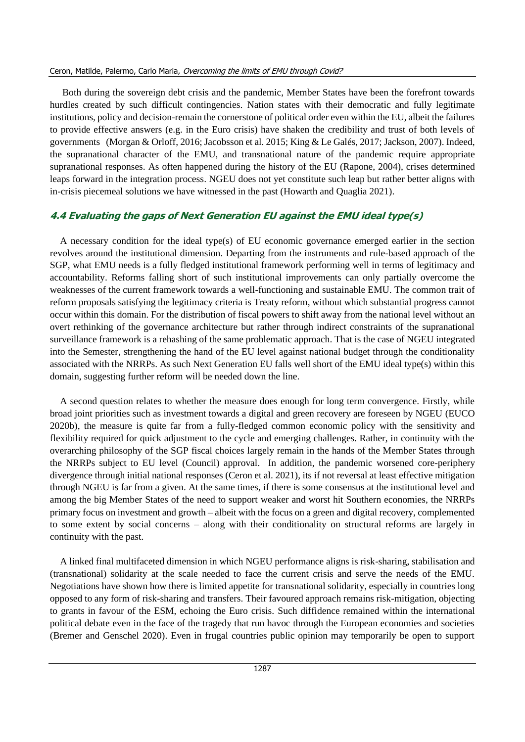#### Ceron, Matilde, Palermo, Carlo Maria, Overcoming the limits of EMU through Covid?

Both during the sovereign debt crisis and the pandemic, Member States have been the forefront towards hurdles created by such difficult contingencies. Nation states with their democratic and fully legitimate institutions, policy and decision-remain the cornerstone of political order even within the EU, albeit the failures to provide effective answers (e.g. in the Euro crisis) have shaken the credibility and trust of both levels of governments (Morgan & Orloff, 2016; Jacobsson et al. 2015; King & Le Galés, 2017; Jackson, 2007). Indeed, the supranational character of the EMU, and transnational nature of the pandemic require appropriate supranational responses. As often happened during the history of the EU (Rapone, 2004), crises determined leaps forward in the integration process. NGEU does not yet constitute such leap but rather better aligns with in-crisis piecemeal solutions we have witnessed in the past (Howarth and Quaglia 2021).

## **4.4 Evaluating the gaps of Next Generation EU against the EMU ideal type(s)**

A necessary condition for the ideal type(s) of EU economic governance emerged earlier in the section revolves around the institutional dimension. Departing from the instruments and rule-based approach of the SGP, what EMU needs is a fully fledged institutional framework performing well in terms of legitimacy and accountability. Reforms falling short of such institutional improvements can only partially overcome the weaknesses of the current framework towards a well-functioning and sustainable EMU. The common trait of reform proposals satisfying the legitimacy criteria is Treaty reform, without which substantial progress cannot occur within this domain. For the distribution of fiscal powers to shift away from the national level without an overt rethinking of the governance architecture but rather through indirect constraints of the supranational surveillance framework is a rehashing of the same problematic approach. That is the case of NGEU integrated into the Semester, strengthening the hand of the EU level against national budget through the conditionality associated with the NRRPs. As such Next Generation EU falls well short of the EMU ideal type(s) within this domain, suggesting further reform will be needed down the line.

A second question relates to whether the measure does enough for long term convergence. Firstly, while broad joint priorities such as investment towards a digital and green recovery are foreseen by NGEU (EUCO 2020b), the measure is quite far from a fully-fledged common economic policy with the sensitivity and flexibility required for quick adjustment to the cycle and emerging challenges. Rather, in continuity with the overarching philosophy of the SGP fiscal choices largely remain in the hands of the Member States through the NRRPs subject to EU level (Council) approval. In addition, the pandemic worsened core-periphery divergence through initial national responses (Ceron et al. 2021), its if not reversal at least effective mitigation through NGEU is far from a given. At the same times, if there is some consensus at the institutional level and among the big Member States of the need to support weaker and worst hit Southern economies, the NRRPs primary focus on investment and growth – albeit with the focus on a green and digital recovery, complemented to some extent by social concerns – along with their conditionality on structural reforms are largely in continuity with the past.

A linked final multifaceted dimension in which NGEU performance aligns is risk-sharing, stabilisation and (transnational) solidarity at the scale needed to face the current crisis and serve the needs of the EMU. Negotiations have shown how there is limited appetite for transnational solidarity, especially in countries long opposed to any form of risk-sharing and transfers. Their favoured approach remains risk-mitigation, objecting to grants in favour of the ESM, echoing the Euro crisis. Such diffidence remained within the international political debate even in the face of the tragedy that run havoc through the European economies and societies (Bremer and Genschel 2020). Even in frugal countries public opinion may temporarily be open to support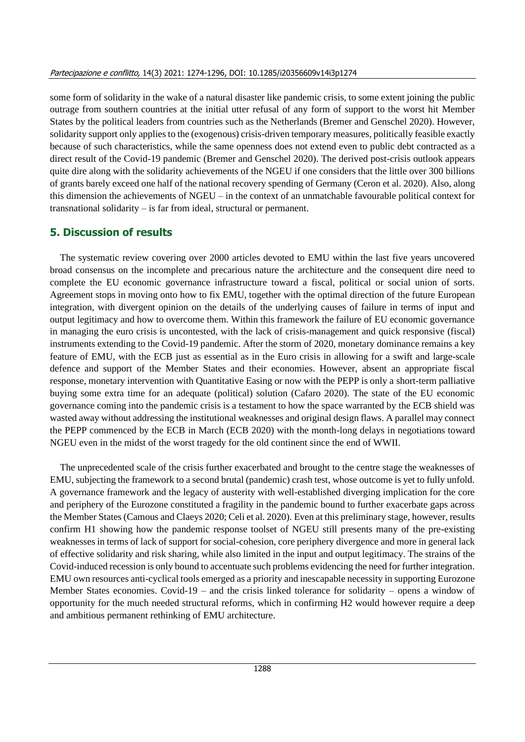some form of solidarity in the wake of a natural disaster like pandemic crisis, to some extent joining the public outrage from southern countries at the initial utter refusal of any form of support to the worst hit Member States by the political leaders from countries such as the Netherlands (Bremer and Genschel 2020). However, solidarity support only applies to the (exogenous) crisis-driven temporary measures, politically feasible exactly because of such characteristics, while the same openness does not extend even to public debt contracted as a direct result of the Covid-19 pandemic (Bremer and Genschel 2020). The derived post-crisis outlook appears quite dire along with the solidarity achievements of the NGEU if one considers that the little over 300 billions of grants barely exceed one half of the national recovery spending of Germany (Ceron et al. 2020). Also, along this dimension the achievements of NGEU – in the context of an unmatchable favourable political context for transnational solidarity – is far from ideal, structural or permanent.

# **5. Discussion of results**

The systematic review covering over 2000 articles devoted to EMU within the last five years uncovered broad consensus on the incomplete and precarious nature the architecture and the consequent dire need to complete the EU economic governance infrastructure toward a fiscal, political or social union of sorts. Agreement stops in moving onto how to fix EMU, together with the optimal direction of the future European integration, with divergent opinion on the details of the underlying causes of failure in terms of input and output legitimacy and how to overcome them. Within this framework the failure of EU economic governance in managing the euro crisis is uncontested, with the lack of crisis-management and quick responsive (fiscal) instruments extending to the Covid-19 pandemic. After the storm of 2020, monetary dominance remains a key feature of EMU, with the ECB just as essential as in the Euro crisis in allowing for a swift and large-scale defence and support of the Member States and their economies. However, absent an appropriate fiscal response, monetary intervention with Quantitative Easing or now with the PEPP is only a short-term palliative buying some extra time for an adequate (political) solution (Cafaro 2020). The state of the EU economic governance coming into the pandemic crisis is a testament to how the space warranted by the ECB shield was wasted away without addressing the institutional weaknesses and original design flaws. A parallel may connect the PEPP commenced by the ECB in March (ECB 2020) with the month-long delays in negotiations toward NGEU even in the midst of the worst tragedy for the old continent since the end of WWII.

The unprecedented scale of the crisis further exacerbated and brought to the centre stage the weaknesses of EMU, subjecting the framework to a second brutal (pandemic) crash test, whose outcome is yet to fully unfold. A governance framework and the legacy of austerity with well-established diverging implication for the core and periphery of the Eurozone constituted a fragility in the pandemic bound to further exacerbate gaps across the Member States (Camous and Claeys 2020; Celi et al. 2020). Even at this preliminary stage, however, results confirm H1 showing how the pandemic response toolset of NGEU still presents many of the pre-existing weaknesses in terms of lack of support for social-cohesion, core periphery divergence and more in general lack of effective solidarity and risk sharing, while also limited in the input and output legitimacy. The strains of the Covid-induced recession is only bound to accentuate such problems evidencing the need for further integration. EMU own resources anti-cyclical tools emerged as a priority and inescapable necessity in supporting Eurozone Member States economies. Covid-19 – and the crisis linked tolerance for solidarity – opens a window of opportunity for the much needed structural reforms, which in confirming H2 would however require a deep and ambitious permanent rethinking of EMU architecture.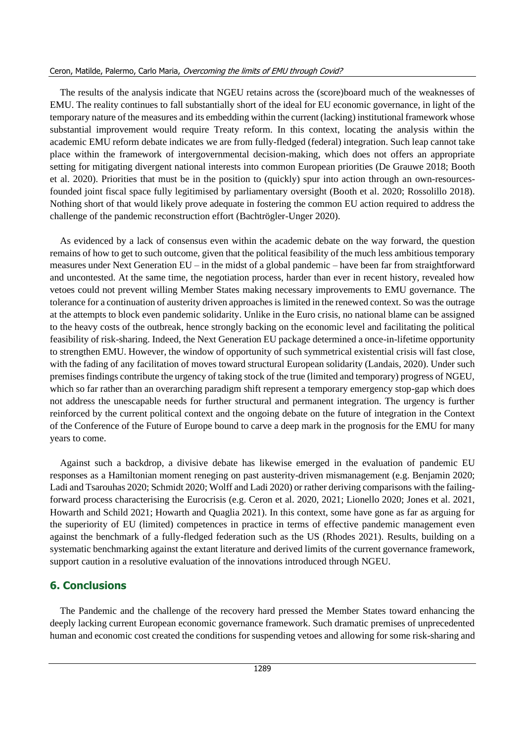#### Ceron, Matilde, Palermo, Carlo Maria, Overcoming the limits of EMU through Covid?

The results of the analysis indicate that NGEU retains across the (score)board much of the weaknesses of EMU. The reality continues to fall substantially short of the ideal for EU economic governance, in light of the temporary nature of the measures and its embedding within the current (lacking) institutional framework whose substantial improvement would require Treaty reform. In this context, locating the analysis within the academic EMU reform debate indicates we are from fully-fledged (federal) integration. Such leap cannot take place within the framework of intergovernmental decision-making, which does not offers an appropriate setting for mitigating divergent national interests into common European priorities (De Grauwe 2018; Booth et al. 2020). Priorities that must be in the position to (quickly) spur into action through an own-resourcesfounded joint fiscal space fully legitimised by parliamentary oversight (Booth et al. 2020; Rossolillo 2018). Nothing short of that would likely prove adequate in fostering the common EU action required to address the challenge of the pandemic reconstruction effort (Bachtrögler-Unger 2020).

As evidenced by a lack of consensus even within the academic debate on the way forward, the question remains of how to get to such outcome, given that the political feasibility of the much less ambitious temporary measures under Next Generation EU – in the midst of a global pandemic – have been far from straightforward and uncontested. At the same time, the negotiation process, harder than ever in recent history, revealed how vetoes could not prevent willing Member States making necessary improvements to EMU governance. The tolerance for a continuation of austerity driven approaches is limited in the renewed context. So was the outrage at the attempts to block even pandemic solidarity. Unlike in the Euro crisis, no national blame can be assigned to the heavy costs of the outbreak, hence strongly backing on the economic level and facilitating the political feasibility of risk-sharing. Indeed, the Next Generation EU package determined a once-in-lifetime opportunity to strengthen EMU. However, the window of opportunity of such symmetrical existential crisis will fast close, with the fading of any facilitation of moves toward structural European solidarity (Landais, 2020). Under such premises findings contribute the urgency of taking stock of the true (limited and temporary) progress of NGEU, which so far rather than an overarching paradigm shift represent a temporary emergency stop-gap which does not address the unescapable needs for further structural and permanent integration. The urgency is further reinforced by the current political context and the ongoing debate on the future of integration in the Context of the Conference of the Future of Europe bound to carve a deep mark in the prognosis for the EMU for many years to come.

Against such a backdrop, a divisive debate has likewise emerged in the evaluation of pandemic EU responses as a Hamiltonian moment reneging on past austerity-driven mismanagement (e.g. Benjamin 2020; Ladi and Tsarouhas 2020; Schmidt 2020; Wolff and Ladi 2020) or rather deriving comparisons with the failingforward process characterising the Eurocrisis (e.g. Ceron et al. 2020, 2021; Lionello 2020; Jones et al. 2021, Howarth and Schild 2021; Howarth and Quaglia 2021). In this context, some have gone as far as arguing for the superiority of EU (limited) competences in practice in terms of effective pandemic management even against the benchmark of a fully-fledged federation such as the US (Rhodes 2021). Results, building on a systematic benchmarking against the extant literature and derived limits of the current governance framework, support caution in a resolutive evaluation of the innovations introduced through NGEU.

## **6. Conclusions**

The Pandemic and the challenge of the recovery hard pressed the Member States toward enhancing the deeply lacking current European economic governance framework. Such dramatic premises of unprecedented human and economic cost created the conditions for suspending vetoes and allowing for some risk-sharing and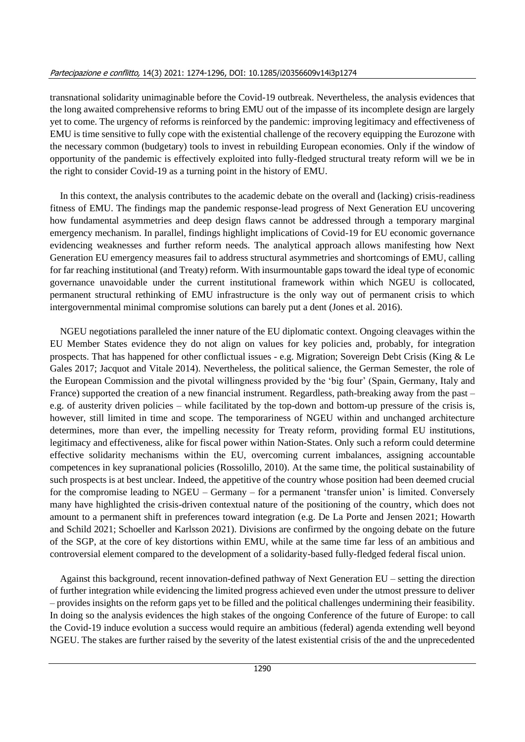transnational solidarity unimaginable before the Covid-19 outbreak. Nevertheless, the analysis evidences that the long awaited comprehensive reforms to bring EMU out of the impasse of its incomplete design are largely yet to come. The urgency of reforms is reinforced by the pandemic: improving legitimacy and effectiveness of EMU is time sensitive to fully cope with the existential challenge of the recovery equipping the Eurozone with the necessary common (budgetary) tools to invest in rebuilding European economies. Only if the window of opportunity of the pandemic is effectively exploited into fully-fledged structural treaty reform will we be in the right to consider Covid-19 as a turning point in the history of EMU.

In this context, the analysis contributes to the academic debate on the overall and (lacking) crisis-readiness fitness of EMU. The findings map the pandemic response-lead progress of Next Generation EU uncovering how fundamental asymmetries and deep design flaws cannot be addressed through a temporary marginal emergency mechanism. In parallel, findings highlight implications of Covid-19 for EU economic governance evidencing weaknesses and further reform needs. The analytical approach allows manifesting how Next Generation EU emergency measures fail to address structural asymmetries and shortcomings of EMU, calling for far reaching institutional (and Treaty) reform. With insurmountable gaps toward the ideal type of economic governance unavoidable under the current institutional framework within which NGEU is collocated, permanent structural rethinking of EMU infrastructure is the only way out of permanent crisis to which intergovernmental minimal compromise solutions can barely put a dent (Jones et al. 2016).

NGEU negotiations paralleled the inner nature of the EU diplomatic context. Ongoing cleavages within the EU Member States evidence they do not align on values for key policies and, probably, for integration prospects. That has happened for other conflictual issues - e.g. Migration; Sovereign Debt Crisis (King & Le Gales 2017; Jacquot and Vitale 2014). Nevertheless, the political salience, the German Semester, the role of the European Commission and the pivotal willingness provided by the 'big four' (Spain, Germany, Italy and France) supported the creation of a new financial instrument. Regardless, path-breaking away from the past – e.g. of austerity driven policies – while facilitated by the top-down and bottom-up pressure of the crisis is, however, still limited in time and scope. The temporariness of NGEU within and unchanged architecture determines, more than ever, the impelling necessity for Treaty reform, providing formal EU institutions, legitimacy and effectiveness, alike for fiscal power within Nation-States. Only such a reform could determine effective solidarity mechanisms within the EU, overcoming current imbalances, assigning accountable competences in key supranational policies (Rossolillo, 2010). At the same time, the political sustainability of such prospects is at best unclear. Indeed, the appetitive of the country whose position had been deemed crucial for the compromise leading to NGEU – Germany – for a permanent 'transfer union' is limited. Conversely many have highlighted the crisis-driven contextual nature of the positioning of the country, which does not amount to a permanent shift in preferences toward integration (e.g. De La Porte and Jensen 2021; Howarth and Schild 2021; Schoeller and Karlsson 2021). Divisions are confirmed by the ongoing debate on the future of the SGP, at the core of key distortions within EMU, while at the same time far less of an ambitious and controversial element compared to the development of a solidarity-based fully-fledged federal fiscal union.

Against this background, recent innovation-defined pathway of Next Generation EU – setting the direction of further integration while evidencing the limited progress achieved even under the utmost pressure to deliver – provides insights on the reform gaps yet to be filled and the political challenges undermining their feasibility. In doing so the analysis evidences the high stakes of the ongoing Conference of the future of Europe: to call the Covid-19 induce evolution a success would require an ambitious (federal) agenda extending well beyond NGEU. The stakes are further raised by the severity of the latest existential crisis of the and the unprecedented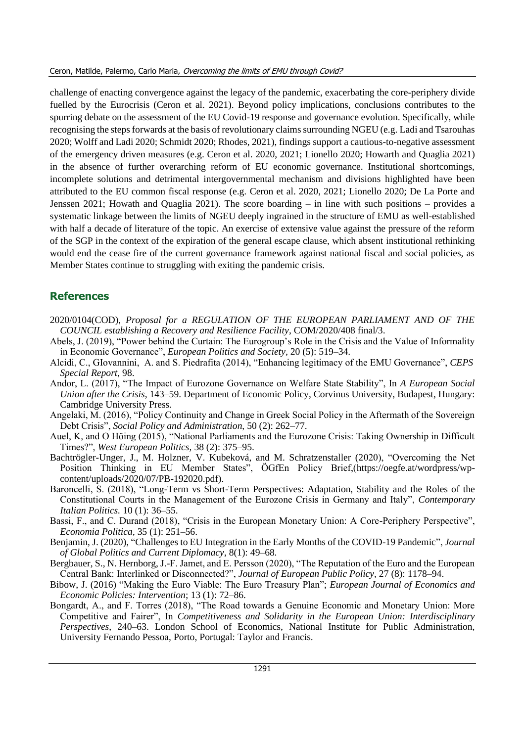challenge of enacting convergence against the legacy of the pandemic, exacerbating the core-periphery divide fuelled by the Eurocrisis (Ceron et al. 2021). Beyond policy implications, conclusions contributes to the spurring debate on the assessment of the EU Covid-19 response and governance evolution. Specifically, while recognising the steps forwards at the basis of revolutionary claims surrounding NGEU (e.g. Ladi and Tsarouhas 2020; Wolff and Ladi 2020; Schmidt 2020; Rhodes, 2021), findings support a cautious-to-negative assessment of the emergency driven measures (e.g. Ceron et al. 2020, 2021; Lionello 2020; Howarth and Quaglia 2021) in the absence of further overarching reform of EU economic governance. Institutional shortcomings, incomplete solutions and detrimental intergovernmental mechanism and divisions highlighted have been attributed to the EU common fiscal response (e.g. Ceron et al. 2020, 2021; Lionello 2020; De La Porte and Jenssen 2021; Howath and Quaglia 2021). The score boarding – in line with such positions – provides a systematic linkage between the limits of NGEU deeply ingrained in the structure of EMU as well-established with half a decade of literature of the topic. An exercise of extensive value against the pressure of the reform of the SGP in the context of the expiration of the general escape clause, which absent institutional rethinking would end the cease fire of the current governance framework against national fiscal and social policies, as Member States continue to struggling with exiting the pandemic crisis.

# **References**

- 2020/0104(COD), *Proposal for a REGULATION OF THE EUROPEAN PARLIAMENT AND OF THE COUNCIL establishing a Recovery and Resilience Facility*, COM/2020/408 final/3.
- Abels, J. (2019), "Power behind the Curtain: The Eurogroup's Role in the Crisis and the Value of Informality in Economic Governance", *European Politics and Society,* 20 (5): 519–34.
- Alcidi, C., GIovannini, A. and S. Piedrafita (2014), "Enhancing legitimacy of the EMU Governance", *CEPS Special Report*, 98.
- Andor, L. (2017), "The Impact of Eurozone Governance on Welfare State Stability", In *A European Social Union after the Crisis*, 143–59. Department of Economic Policy, Corvinus University, Budapest, Hungary: Cambridge University Press.
- Angelaki, M. (2016), "Policy Continuity and Change in Greek Social Policy in the Aftermath of the Sovereign Debt Crisis", *Social Policy and Administration*, 50 (2): 262–77.
- Auel, K, and O Höing (2015), "National Parliaments and the Eurozone Crisis: Taking Ownership in Difficult Times?", *West European Politics,* 38 (2): 375–95.
- Bachtrögler-Unger, J., M. Holzner, V. Kubeková, and M. Schratzenstaller (2020), "Overcoming the Net Position Thinking in EU Member States", ÖGfEn Policy Brief,(https://oegfe.at/wordpress/wpcontent/uploads/2020/07/PB-192020.pdf).
- Baroncelli, S. (2018), "Long-Term vs Short-Term Perspectives: Adaptation, Stability and the Roles of the Constitutional Courts in the Management of the Eurozone Crisis in Germany and Italy", *Contemporary Italian Politics.* 10 (1): 36–55.
- Bassi, F., and C. Durand (2018), "Crisis in the European Monetary Union: A Core-Periphery Perspective", *Economia Politica,* 35 (1): 251–56.
- Benjamin, J. (2020), "Challenges to EU Integration in the Early Months of the COVID-19 Pandemic", *Journal of Global Politics and Current Diplomacy*, 8(1): 49–68.
- Bergbauer, S., N. Hernborg, J.-F. Jamet, and E. Persson (2020), "The Reputation of the Euro and the European Central Bank: Interlinked or Disconnected?", *Journal of European Public Policy,* 27 (8): 1178–94.
- Bibow, J. (2016) "Making the Euro Viable: The Euro Treasury Plan"; *European Journal of Economics and Economic Policies: Intervention*; 13 (1): 72–86.
- Bongardt, A., and F. Torres (2018), "The Road towards a Genuine Economic and Monetary Union: More Competitive and Fairer", In *Competitiveness and Solidarity in the European Union: Interdisciplinary Perspectives*, 240–63. London School of Economics, National Institute for Public Administration, University Fernando Pessoa, Porto, Portugal: Taylor and Francis.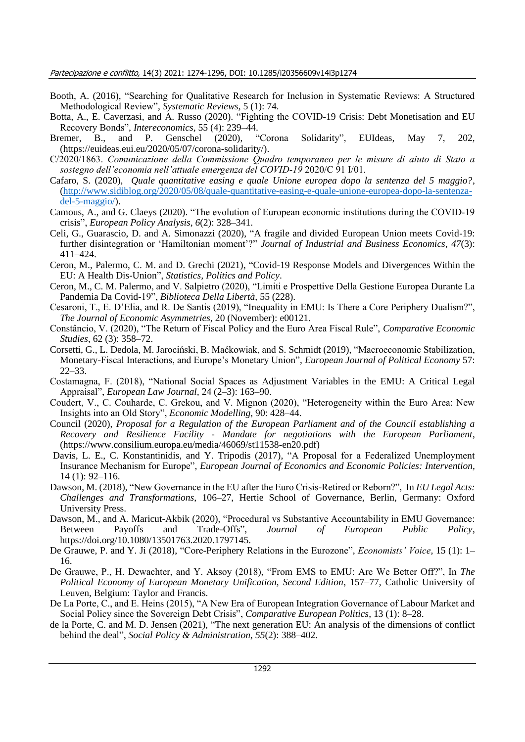- Booth, A. (2016), "Searching for Qualitative Research for Inclusion in Systematic Reviews: A Structured Methodological Review", *Systematic Reviews,* 5 (1): 74.
- Botta, A., E. Caverzasi, and A. Russo (2020). "Fighting the COVID-19 Crisis: Debt Monetisation and EU Recovery Bonds", *Intereconomics,* 55 (4): 239–44.
- Bremer, B., and P. Genschel (2020), "Corona Solidarity", EUIdeas, May 7, 202, (https://euideas.eui.eu/2020/05/07/corona-solidarity/).
- C/2020/1863. *Comunicazione della Commissione Quadro temporaneo per le misure di aiuto di Stato a sostegno dell'economia nell'attuale emergenza del COVID-19* 2020/C 91 I/01.
- Cafaro, S. (2020), *Quale quantitative easing e quale Unione europea dopo la sentenza del 5 maggio?*, [\(http://www.sidiblog.org/2020/05/08/quale-quantitative-easing-e-quale-unione-europea-dopo-la-sentenza](http://www.sidiblog.org/2020/05/08/quale-quantitative-easing-e-quale-unione-europea-dopo-la-sentenza-del-5-maggio/)[del-5-maggio/\)](http://www.sidiblog.org/2020/05/08/quale-quantitative-easing-e-quale-unione-europea-dopo-la-sentenza-del-5-maggio/).
- Camous, A., and G. Claeys (2020). "The evolution of European economic institutions during the COVID‐19 crisis", *European Policy Analysis*, *6*(2): 328–341.
- Celi, G., Guarascio, D. and A. Simonazzi (2020), "A fragile and divided European Union meets Covid-19: further disintegration or 'Hamiltonian moment'?" *Journal of Industrial and Business Economics*, *47*(3): 411–424.
- Ceron, M., Palermo, C. M. and D. Grechi (2021), "Covid-19 Response Models and Divergences Within the EU: A Health Dis-Union", *Statistics, Politics and Policy*.
- Ceron, M., C. M. Palermo, and V. Salpietro (2020), "Limiti e Prospettive Della Gestione Europea Durante La Pandemia Da Covid-19", *Biblioteca Della Libertà,* 55 (228).
- Cesaroni, T., E. D'Elia, and R. De Santis (2019), "Inequality in EMU: Is There a Core Periphery Dualism?", *The Journal of Economic Asymmetries*, 20 (November): e00121.
- Constâncio, V. (2020), "The Return of Fiscal Policy and the Euro Area Fiscal Rule", *Comparative Economic Studies*, 62 (3): 358–72.
- Corsetti, G., L. Dedola, M. Jarociński, B. Maćkowiak, and S. Schmidt (2019), "Macroeconomic Stabilization, Monetary-Fiscal Interactions, and Europe's Monetary Union", *European Journal of Political Economy* 57: 22–33.
- Costamagna, F. (2018), "National Social Spaces as Adjustment Variables in the EMU: A Critical Legal Appraisal", *European Law Journal,* 24 (2–3): 163–90.
- Coudert, V., C. Couharde, C. Grekou, and V. Mignon (2020), "Heterogeneity within the Euro Area: New Insights into an Old Story", *Economic Modelling,* 90: 428–44.
- Council (2020), *Proposal for a Regulation of the European Parliament and of the Council establishing a Recovery and Resilience Facility - Mandate for negotiations with the European Parliament*, (https://www.consilium.europa.eu/media/46069/st11538-en20.pdf)
- Davis, L. E., C. Konstantinidis, and Y. Tripodis (2017), "A Proposal for a Federalized Unemployment Insurance Mechanism for Europe", *European Journal of Economics and Economic Policies: Intervention,* 14 (1): 92–116.
- Dawson, M. (2018), "New Governance in the EU after the Euro Crisis-Retired or Reborn?", In *EU Legal Acts: Challenges and Transformations*, 106–27, Hertie School of Governance, Berlin, Germany: Oxford University Press.
- Dawson, M., and A. Maricut-Akbik (2020), "Procedural vs Substantive Accountability in EMU Governance: Between Payoffs and Trade-Offs", *Journal of European Public Policy*, https://doi.org/10.1080/13501763.2020.1797145.
- De Grauwe, P. and Y. Ji (2018), "Core-Periphery Relations in the Eurozone", *Economists' Voice,* 15 (1): 1– 16.
- De Grauwe, P., H. Dewachter, and Y. Aksoy (2018), "From EMS to EMU: Are We Better Off?", In *The Political Economy of European Monetary Unification, Second Edition*, 157–77, Catholic University of Leuven, Belgium: Taylor and Francis.
- De La Porte, C., and E. Heins (2015), "A New Era of European Integration Governance of Labour Market and Social Policy since the Sovereign Debt Crisis", *Comparative European Politics*, 13 (1): 8–28.
- de la Porte, C. and M. D. Jensen (2021), "The next generation EU: An analysis of the dimensions of conflict behind the deal", *Social Policy & Administration*, *55*(2): 388–402.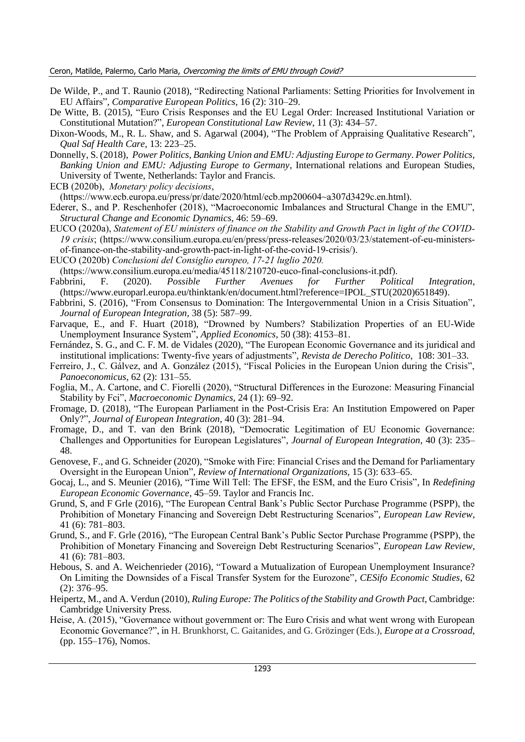- De Wilde, P., and T. Raunio (2018), "Redirecting National Parliaments: Setting Priorities for Involvement in EU Affairs", *Comparative European Politics,* 16 (2): 310–29.
- De Witte, B. (2015), "Euro Crisis Responses and the EU Legal Order: Increased Institutional Variation or Constitutional Mutation?", *European Constitutional Law Review*, 11 (3): 434–57.
- Dixon-Woods, M., R. L. Shaw, and S. Agarwal (2004), "The Problem of Appraising Qualitative Research", *Qual Saf Health Care,* 13: 223–25.
- Donnelly, S. (2018), *Power Politics, Banking Union and EMU: Adjusting Europe to Germany*. *Power Politics, Banking Union and EMU: Adjusting Europe to Germany*, International relations and European Studies, University of Twente, Netherlands: Taylor and Francis.
- ECB (2020b), *Monetary policy decisions*,

(https://www.ecb.europa.eu/press/pr/date/2020/html/ecb.mp200604~a307d3429c.en.html).

- Ederer, S., and P. Reschenhofer (2018), "Macroeconomic Imbalances and Structural Change in the EMU", *Structural Change and Economic Dynamics,* 46: 59–69.
- EUCO (2020a), *Statement of EU ministers of finance on the Stability and Growth Pact in light of the COVID-19 crisis*; (https://www.consilium.europa.eu/en/press/press-releases/2020/03/23/statement-of-eu-ministersof-finance-on-the-stability-and-growth-pact-in-light-of-the-covid-19-crisis/).
- EUCO (2020b) *Conclusioni del Consiglio europeo, 17-21 luglio 2020.*
- (https://www.consilium.europa.eu/media/45118/210720-euco-final-conclusions-it.pdf).
- Fabbrini, F. (2020). *Possible Further Avenues for Further Political Integration*, (https://www.europarl.europa.eu/thinktank/en/document.html?reference=IPOL\_STU(2020)651849).
- Fabbrini, S. (2016), "From Consensus to Domination: The Intergovernmental Union in a Crisis Situation", *Journal of European Integration,* 38 (5): 587–99.
- Farvaque, E., and F. Huart (2018), "Drowned by Numbers? Stabilization Properties of an EU-Wide Unemployment Insurance System", *Applied Economics,* 50 (38): 4153–81.
- Fernández, S. G., and C. F. M. de Vidales (2020), "The European Economic Governance and its juridical and institutional implications: Twenty-five years of adjustments", *Revista de Derecho Politico*, 108: 301–33.
- Ferreiro, J., C. Gálvez, and A. González (2015), "Fiscal Policies in the European Union during the Crisis", *Panoeconomicus,* 62 (2): 131–55.
- Foglia, M., A. Cartone, and C. Fiorelli (2020), "Structural Differences in the Eurozone: Measuring Financial Stability by Fci", *Macroeconomic Dynamics,* 24 (1): 69–92.
- Fromage, D. (2018), "The European Parliament in the Post-Crisis Era: An Institution Empowered on Paper Only?", *Journal of European Integration,* 40 (3): 281–94.
- Fromage, D., and T. van den Brink (2018), "Democratic Legitimation of EU Economic Governance: Challenges and Opportunities for European Legislatures", *Journal of European Integration,* 40 (3): 235– 48.
- Genovese, F., and G. Schneider (2020), "Smoke with Fire: Financial Crises and the Demand for Parliamentary Oversight in the European Union", *Review of International Organizations,* 15 (3): 633–65.
- Gocaj, L., and S. Meunier (2016), "Time Will Tell: The EFSF, the ESM, and the Euro Crisis", In *Redefining European Economic Governance*, 45–59. Taylor and Francis Inc.
- Grund, S, and F Grle (2016), "The European Central Bank's Public Sector Purchase Programme (PSPP), the Prohibition of Monetary Financing and Sovereign Debt Restructuring Scenarios", *European Law Review*, 41 (6): 781–803.
- Grund, S., and F. Grle (2016), "The European Central Bank's Public Sector Purchase Programme (PSPP), the Prohibition of Monetary Financing and Sovereign Debt Restructuring Scenarios", *European Law Review*, 41 (6): 781–803.
- Hebous, S. and A. Weichenrieder (2016), "Toward a Mutualization of European Unemployment Insurance? On Limiting the Downsides of a Fiscal Transfer System for the Eurozone", *CESifo Economic Studies*, 62 (2): 376–95.
- Heipertz, M., and A. Verdun (2010), *Ruling Europe: The Politics of the Stability and Growth Pact*, Cambridge: Cambridge University Press.
- Heise, A. (2015), "Governance without government or: The Euro Crisis and what went wrong with European Economic Governance?", in H. Brunkhorst, C. Gaitanides, and G. Grözinger (Eds.), *Europe at a Crossroad,* (pp. 155–176), Nomos.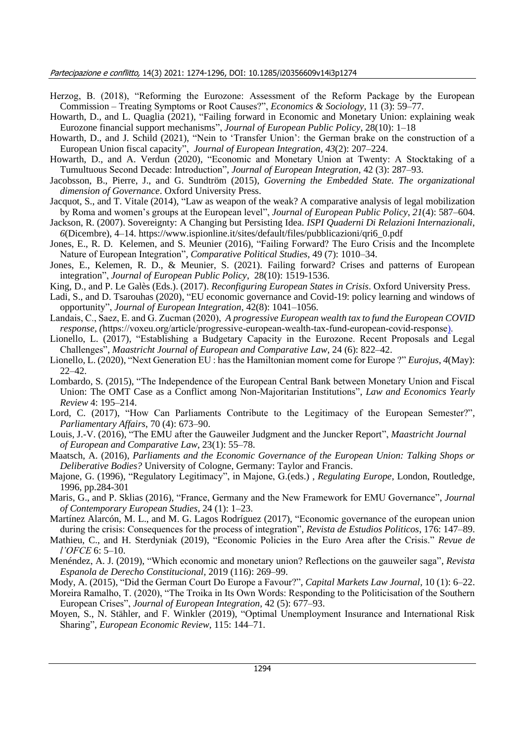- Herzog, B. (2018), "Reforming the Eurozone: Assessment of the Reform Package by the European Commission – Treating Symptoms or Root Causes?", *Economics & Sociology,* 11 (3): 59–77.
- Howarth, D., and L. Quaglia (2021), "Failing forward in Economic and Monetary Union: explaining weak Eurozone financial support mechanisms", *Journal of European Public Policy*, 28(10): 1–18
- Howarth, D., and J. Schild (2021), "Nein to 'Transfer Union': the German brake on the construction of a European Union fiscal capacity", *Journal of European Integration*, *43*(2): 207–224.
- Howarth, D., and A. Verdun (2020), "Economic and Monetary Union at Twenty: A Stocktaking of a Tumultuous Second Decade: Introduction", *Journal of European Integration,* 42 (3): 287–93.
- Jacobsson, B., Pierre, J., and G. Sundtröm (2015), *Governing the Embedded State. The organizational dimension of Governance*. Oxford University Press.
- Jacquot, S., and T. Vitale (2014), "Law as weapon of the weak? A comparative analysis of legal mobilization by Roma and women's groups at the European level", *Journal of European Public Policy*, *21*(4): 587–604.
- Jackson, R. (2007). Sovereignty: A Changing but Persisting Idea. *ISPI Quaderni Di Relazioni Internazionali*, *6*(Dicembre), 4–14. https://www.ispionline.it/sites/default/files/pubblicazioni/qri6\_0.pdf
- Jones, E., R. D. Kelemen, and S. Meunier (2016), "Failing Forward? The Euro Crisis and the Incomplete Nature of European Integration", *Comparative Political Studies,* 49 (7): 1010–34.
- Jones, E., Kelemen, R. D., & Meunier, S. (2021). Failing forward? Crises and patterns of European integration", *Journal of European Public Policy*, 28(10): 1519-1536.
- King, D., and P. Le Galès (Eds.). (2017). *Reconfiguring European States in Crisis*. Oxford University Press.
- Ladi, S., and D. Tsarouhas (2020), "EU economic governance and Covid-19: policy learning and windows of opportunity", *Journal of European Integration*, 42(8): 1041–1056.
- Landais, C., Saez, E. and G. Zucman (2020), *A progressive European wealth tax to fund the European COVID response, (*https://voxeu.org/article/progressive-european-wealth-tax-fund-european-covid-response).
- Lionello, L. (2017), "Establishing a Budgetary Capacity in the Eurozone. Recent Proposals and Legal Challenges", *Maastricht Journal of European and Comparative Law,* 24 (6): 822–42.
- Lionello, L. (2020), "Next Generation EU : has the Hamiltonian moment come for Europe ?" *Eurojus*, *4*(May): 22–42.
- Lombardo, S. (2015), "The Independence of the European Central Bank between Monetary Union and Fiscal Union: The OMT Case as a Conflict among Non-Majoritarian Institutions", *Law and Economics Yearly Review* 4: 195–214.
- Lord, C. (2017), "How Can Parliaments Contribute to the Legitimacy of the European Semester?", *Parliamentary Affairs*, 70 (4): 673–90.
- Louis, J.-V. (2016), "The EMU after the Gauweiler Judgment and the Juncker Report", *Maastricht Journal of European and Comparative Law*, 23(1): 55–78.
- Maatsch, A. (2016), *Parliaments and the Economic Governance of the European Union: Talking Shops or Deliberative Bodies?* University of Cologne, Germany: Taylor and Francis.
- Majone, G. (1996), "Regulatory Legitimacy", in Majone, G.(eds.) , *Regulating Europe*, London, Routledge, 1996, pp.284-301
- Maris, G., and P. Sklias (2016), "France, Germany and the New Framework for EMU Governance", *Journal of Contemporary European Studies,* 24 (1): 1–23.
- Martínez Alarcón, M. L., and M. G. Lagos Rodríguez (2017), "Economic governance of the european union during the crisis: Consequences for the process of integration", *Revista de Estudios Politicos*, 176: 147–89.
- Mathieu, C., and H. Sterdyniak (2019), "Economic Policies in the Euro Area after the Crisis." *Revue de l'OFCE* 6: 5–10.
- Menéndez, A. J. (2019), "Which economic and monetary union? Reflections on the gauweiler saga", *Revista Espanola de Derecho Constitucional,* 2019 (116): 269–99.
- Mody, A. (2015), "Did the German Court Do Europe a Favour?", *Capital Markets Law Journal,* 10 (1): 6–22.
- Moreira Ramalho, T. (2020), "The Troika in Its Own Words: Responding to the Politicisation of the Southern European Crises", *Journal of European Integration,* 42 (5): 677–93.
- Moyen, S., N. Stähler, and F. Winkler (2019), "Optimal Unemployment Insurance and International Risk Sharing", *European Economic Review,* 115: 144–71.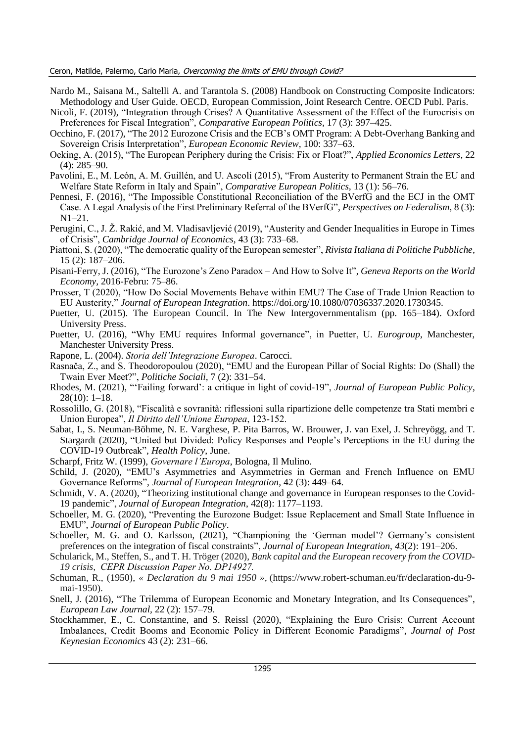Ceron, Matilde, Palermo, Carlo Maria, Overcoming the limits of EMU through Covid?

- Nardo M., Saisana M., Saltelli A. and Tarantola S. (2008) Handbook on Constructing Composite Indicators: Methodology and User Guide. OECD, European Commission, Joint Research Centre. OECD Publ. Paris.
- Nicoli, F. (2019), "Integration through Crises? A Quantitative Assessment of the Effect of the Eurocrisis on Preferences for Fiscal Integration", *Comparative European Politics,* 17 (3): 397–425.
- Occhino, F. (2017), "The 2012 Eurozone Crisis and the ECB's OMT Program: A Debt-Overhang Banking and Sovereign Crisis Interpretation", *European Economic Review,* 100: 337–63.
- Oeking, A. (2015), "The European Periphery during the Crisis: Fix or Float?", *Applied Economics Letters,* 22 (4): 285–90.
- Pavolini, E., M. León, A. M. Guillén, and U. Ascoli (2015), "From Austerity to Permanent Strain the EU and Welfare State Reform in Italy and Spain", *Comparative European Politics,* 13 (1): 56–76.
- Pennesi, F. (2016), "The Impossible Constitutional Reconciliation of the BVerfG and the ECJ in the OMT Case. A Legal Analysis of the First Preliminary Referral of the BVerfG", *Perspectives on Federalism,* 8 (3): N1–21.
- Perugini, C., J. Ž. Rakić, and M. Vladisavljević (2019), "Austerity and Gender Inequalities in Europe in Times of Crisis", *Cambridge Journal of Economics,* 43 (3): 733–68.
- Piattoni, S. (2020), "The democratic quality of the European semester", *Rivista Italiana di Politiche Pubbliche,* 15 (2): 187–206.
- Pisani-Ferry, J. (2016), "The Eurozone's Zeno Paradox And How to Solve It", *Geneva Reports on the World Economy,* 2016-Febru: 75–86.
- Prosser, T (2020), "How Do Social Movements Behave within EMU? The Case of Trade Union Reaction to EU Austerity," *Journal of European Integration*. https://doi.org/10.1080/07036337.2020.1730345.
- Puetter, U. (2015). The European Council. In The New Intergovernmentalism (pp. 165–184). Oxford University Press.
- Puetter, U. (2016), "Why EMU requires Informal governance", in Puetter, U. *Eurogroup*, Manchester, Manchester University Press.
- Rapone, L. (2004). *Storia dell'Integrazione Europea*. Carocci.
- Rasnača, Z., and S. Theodoropoulou (2020), "EMU and the European Pillar of Social Rights: Do (Shall) the Twain Ever Meet?", *Politiche Sociali,* 7 (2): 331–54.
- Rhodes, M. (2021), "'Failing forward': a critique in light of covid-19", *Journal of European Public Policy*, 28(10): 1–18.
- Rossolillo, G. (2018), "Fiscalità e sovranità: riflessioni sulla ripartizione delle competenze tra Stati membri e Union Europea", *Il Diritto dell'Unione Europea*, 123-152.
- Sabat, I., S. Neuman-Böhme, N. E. Varghese, P. Pita Barros, W. Brouwer, J. van Exel, J. Schreyögg, and T. Stargardt (2020), "United but Divided: Policy Responses and People's Perceptions in the EU during the COVID-19 Outbreak", *Health Policy*, June.
- Scharpf, Fritz W. (1999), *Governare l'Europa*, Bologna, Il Mulino.
- Schild, J. (2020), "EMU's Asymmetries and Asymmetries in German and French Influence on EMU Governance Reforms", *Journal of European Integration,* 42 (3): 449–64.
- Schmidt, V. A. (2020), "Theorizing institutional change and governance in European responses to the Covid-19 pandemic", *Journal of European Integration*, 42(8): 1177–1193.
- Schoeller, M. G. (2020), "Preventing the Eurozone Budget: Issue Replacement and Small State Influence in EMU", *Journal of European Public Policy*.
- Schoeller, M. G. and O. Karlsson, (2021), "Championing the 'German model'? Germany's consistent preferences on the integration of fiscal constraints", *Journal of European Integration*, *43*(2): 191–206.
- Schularick, M., Steffen, S., and T. H. Tröger (2020), *Bank capital and the European recovery from the COVID-19 crisis, CEPR Discussion Paper No. DP14927.*
- Schuman, R., (1950), *« Declaration du 9 mai 1950 »,* (https://www.robert-schuman.eu/fr/declaration-du-9 mai-1950).
- Snell, J. (2016), "The Trilemma of European Economic and Monetary Integration, and Its Consequences", *European Law Journal,* 22 (2): 157–79.
- Stockhammer, E., C. Constantine, and S. Reissl (2020), "Explaining the Euro Crisis: Current Account Imbalances, Credit Booms and Economic Policy in Different Economic Paradigms", *Journal of Post Keynesian Economics* 43 (2): 231–66.